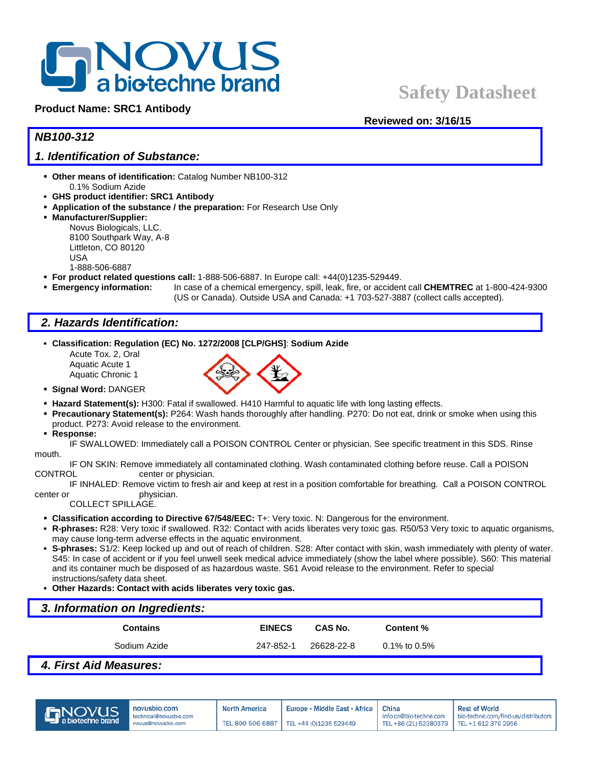# **BROVUS**<br>BROWUS

#### **Product Name: SRC1 Antibody**

# **Safety Datasheet**

#### **Reviewed on: 3/16/15**

### *NB100-312*

#### *1. Identification of Substance:*

- **Other means of identification:** Catalog Number NB100-312 0.1% Sodium Azide
- **GHS product identifier: SRC1 Antibody**
- **Application of the substance / the preparation:** For Research Use Only
- **Manufacturer/Supplier:**
	- Novus Biologicals, LLC. 8100 Southpark Way, A-8 Littleton, CO 80120 USA 1-888-506-6887
- **For product related questions call:** 1-888-506-6887. In Europe call: +44(0)1235-529449.
- **Emergency information:** In case of a chemical emergency, spill, leak, fire, or accident call **CHEMTREC** at 1-800-424-9300
	- (US or Canada). Outside USA and Canada: +1 703-527-3887 (collect calls accepted).

## *2. Hazards Identification:*

- **Classification: Regulation (EC) No. 1272/2008 [CLP/GHS]**: **Sodium Azide**
	- Acute Tox. 2, Oral Aquatic Acute 1 Aquatic Chronic 1



- **Signal Word:** DANGER
- **Hazard Statement(s):** H300: Fatal if swallowed. H410 Harmful to aquatic life with long lasting effects.
- **Precautionary Statement(s):** P264: Wash hands thoroughly after handling. P270: Do not eat, drink or smoke when using this product. P273: Avoid release to the environment.
- **Response:**

IF SWALLOWED: Immediately call a POISON CONTROL Center or physician. See specific treatment in this SDS. Rinse mouth.

IF ON SKIN: Remove immediately all contaminated clothing. Wash contaminated clothing before reuse. Call a POISON CONTROL center or physician.

IF INHALED: Remove victim to fresh air and keep at rest in a position comfortable for breathing. Call a POISON CONTROL center or physician.

COLLECT SPILLAGE.

- **Classification according to Directive 67/548/EEC:** T+: Very toxic. N: Dangerous for the environment.
- **R-phrases:** R28: Very toxic if swallowed. R32: Contact with acids liberates very toxic gas. R50/53 Very toxic to aquatic organisms, may cause long-term adverse effects in the aquatic environment.
- **S-phrases:** S1/2: Keep locked up and out of reach of children. S28: After contact with skin, wash immediately with plenty of water. S45: In case of accident or if you feel unwell seek medical advice immediately (show the label where possible). S60: This material and its container much be disposed of as hazardous waste. S61 Avoid release to the environment. Refer to special instructions/safety data sheet.
- **Other Hazards: Contact with acids liberates very toxic gas.**

| 3. Information on Ingredients: |               |            |              |  |  |  |
|--------------------------------|---------------|------------|--------------|--|--|--|
| <b>Contains</b>                | <b>EINECS</b> | CAS No.    | Content %    |  |  |  |
| Sodium Azide                   | 247-852-1     | 26628-22-8 | 0.1% to 0.5% |  |  |  |
| .<br>____                      |               |            |              |  |  |  |

#### *4. First Aid Measures:*



China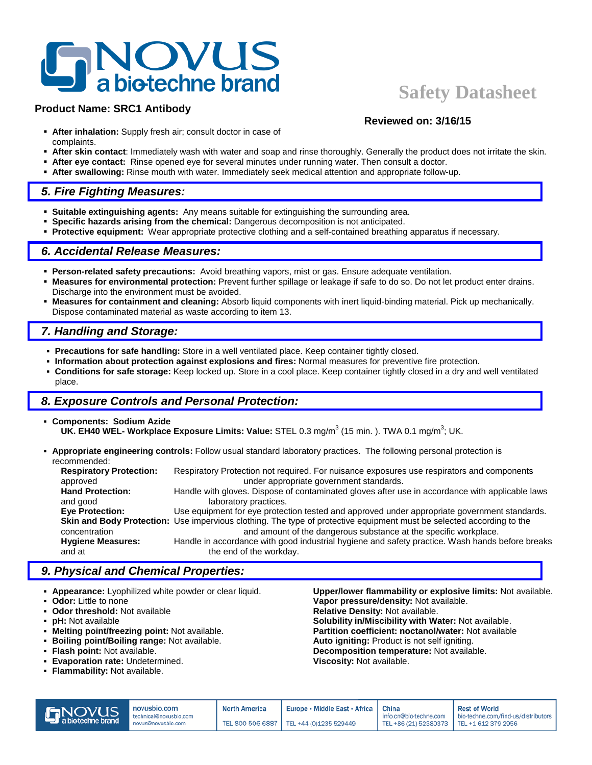# **NOVUS**<br>**a** biotechne brand

#### **Product Name: SRC1 Antibody**

# **Safety Datasheet**

**Reviewed on: 3/16/15**

- **After inhalation:** Supply fresh air; consult doctor in case of complaints.
- **After skin contact**: Immediately wash with water and soap and rinse thoroughly. Generally the product does not irritate the skin.
- **After eye contact:** Rinse opened eye for several minutes under running water. Then consult a doctor.
- **After swallowing:** Rinse mouth with water. Immediately seek medical attention and appropriate follow-up.

#### *5. Fire Fighting Measures:*

- **Suitable extinguishing agents:** Any means suitable for extinguishing the surrounding area.
- **Specific hazards arising from the chemical:** Dangerous decomposition is not anticipated.
- **Protective equipment:** Wear appropriate protective clothing and a self-contained breathing apparatus if necessary.

#### *6. Accidental Release Measures:*

- **Person-related safety precautions:** Avoid breathing vapors, mist or gas. Ensure adequate ventilation.
- **Measures for environmental protection:** Prevent further spillage or leakage if safe to do so. Do not let product enter drains. Discharge into the environment must be avoided.
- **Measures for containment and cleaning:** Absorb liquid components with inert liquid-binding material. Pick up mechanically. Dispose contaminated material as waste according to item 13.

## *7. Handling and Storage:*

- **Precautions for safe handling:** Store in a well ventilated place. Keep container tightly closed.
- **Information about protection against explosions and fires:** Normal measures for preventive fire protection.
- **Conditions for safe storage:** Keep locked up. Store in a cool place. Keep container tightly closed in a dry and well ventilated place.

## *8. Exposure Controls and Personal Protection:*

- **Components: Sodium Azide UK. EH40 WEL- Workplace Exposure Limits: Value:** STEL 0.3 mg/m<sup>3</sup> (15 min. ). TWA 0.1 mg/m<sup>3</sup>; UK.
- **Appropriate engineering controls:** Follow usual standard laboratory practices. The following personal protection is recommended:

| <b>Respiratory Protection:</b> | Respiratory Protection not required. For nuisance exposures use respirators and components                            |
|--------------------------------|-----------------------------------------------------------------------------------------------------------------------|
| approved                       | under appropriate government standards.                                                                               |
| <b>Hand Protection:</b>        | Handle with gloves. Dispose of contaminated gloves after use in accordance with applicable laws                       |
| and good                       | laboratory practices.                                                                                                 |
| <b>Eve Protection:</b>         | Use equipment for eye protection tested and approved under appropriate government standards.                          |
|                                | Skin and Body Protection: Use impervious clothing. The type of protective equipment must be selected according to the |
| concentration                  | and amount of the dangerous substance at the specific workplace.                                                      |
| <b>Hygiene Measures:</b>       | Handle in accordance with good industrial hygiene and safety practice. Wash hands before breaks                       |
| and at                         | the end of the workday.                                                                                               |
|                                |                                                                                                                       |

## *9. Physical and Chemical Properties:*

- **Appearance:** Lyophilized white powder or clear liquid. **Upper/lower flammability or explosive limits:** Not available.
- 
- 
- 
- 
- **Boiling point/Boiling range:** Not available. **Auto igniting:** Product is not self igniting.
- 
- **Evaporation rate: Undetermined.**
- **Flammability:** Not available.

**Odor:** Little to none **Vapor pressure/density:** Not available.<br> **Odor threshold:** Not available **Constanting Constant Pressure:** Relative Density: Not available. **Relative Density: Not available. pH:** Not available **Solubility in/Miscibility with Water:** Not available.<br>**Melting point/freezing point:** Not available. **Solubility in/Miscibility with Water:** Not available. Partition coefficient: noctanol/water: Not available **Flash point:** Not available. **Decomposition temperature:** Not available.<br>**Evaporation rate:** Undetermined. **Decomposition of Science Composition of Available.** 

| <b>S</b> NOVUS | novusbio.com                                 | <b>North America</b> | Europe • Middle East • Africa   China     |                                                                     | <b>Rest of World</b>                |
|----------------|----------------------------------------------|----------------------|-------------------------------------------|---------------------------------------------------------------------|-------------------------------------|
|                | technical@novusbio.com<br>novus@novusbio.com |                      | TEL 800 506 6887   TEL +44 (0)1235 529449 | info.cn@bio-techne.com<br>TEL +86 (21) 52380373 TEL +1 612 379 2956 | bio-techne.com/find-us/distributors |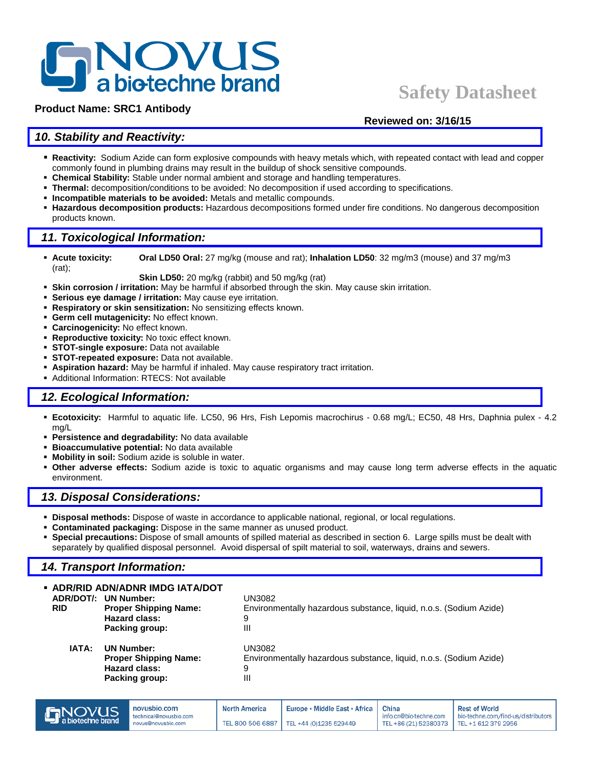# **NOVUS**<br>**a** biotechne brand

#### **Product Name: SRC1 Antibody**

## **Safety Datasheet**

#### **Reviewed on: 3/16/15**

### *10. Stability and Reactivity:*

- **Reactivity:** Sodium Azide can form explosive compounds with heavy metals which, with repeated contact with lead and copper commonly found in plumbing drains may result in the buildup of shock sensitive compounds.
- **Chemical Stability:** Stable under normal ambient and storage and handling temperatures.
- **Thermal:** decomposition/conditions to be avoided: No decomposition if used according to specifications.
- **Incompatible materials to be avoided:** Metals and metallic compounds.
- **Hazardous decomposition products:** Hazardous decompositions formed under fire conditions. No dangerous decomposition products known.

#### *11. Toxicological Information:*

 **Acute toxicity: Oral LD50 Oral:** 27 mg/kg (mouse and rat); **Inhalation LD50**: 32 mg/m3 (mouse) and 37 mg/m3 (rat);

**Skin LD50:** 20 mg/kg (rabbit) and 50 mg/kg (rat)

- **Skin corrosion / irritation:** May be harmful if absorbed through the skin. May cause skin irritation.
- **Serious eye damage / irritation:** May cause eye irritation.
- **Respiratory or skin sensitization:** No sensitizing effects known.
- **Germ cell mutagenicity:** No effect known.
- **Carcinogenicity:** No effect known.
- **Reproductive toxicity:** No toxic effect known.
- **STOT-single exposure:** Data not available
- **STOT-repeated exposure:** Data not available.
- **Aspiration hazard:** May be harmful if inhaled. May cause respiratory tract irritation.
- Additional Information: RTECS: Not available

#### *12. Ecological Information:*

- **Ecotoxicity:** Harmful to aquatic life. LC50, 96 Hrs, Fish Lepomis macrochirus 0.68 mg/L; EC50, 48 Hrs, Daphnia pulex 4.2 mg/L
- **Persistence and degradability:** No data available
- **Bioaccumulative potential:** No data available
- **Mobility in soil:** Sodium azide is soluble in water.
- **Other adverse effects:** Sodium azide is toxic to aquatic organisms and may cause long term adverse effects in the aquatic environment.

#### *13. Disposal Considerations:*

- **Disposal methods:** Dispose of waste in accordance to applicable national, regional, or local regulations.
- **Contaminated packaging:** Dispose in the same manner as unused product.
- **Special precautions:** Dispose of small amounts of spilled material as described in section 6. Large spills must be dealt with separately by qualified disposal personnel. Avoid dispersal of spilt material to soil, waterways, drains and sewers.

#### *14. Transport Information:*

| • ADR/RID ADN/ADNR IMDG IATA/DOT<br>ADR/DOT/: UN Number:<br><b>RID</b><br><b>Proper Shipping Name:</b><br><b>Hazard class:</b><br>Packing group: | UN3082<br>Environmentally hazardous substance, liquid, n.o.s. (Sodium Azide)<br>9<br>Ш |
|--------------------------------------------------------------------------------------------------------------------------------------------------|----------------------------------------------------------------------------------------|
| IATA:<br><b>UN Number:</b><br><b>Proper Shipping Name:</b><br><b>Hazard class:</b><br>Packing group:                                             | UN3082<br>Environmentally hazardous substance, liquid, n.o.s. (Sodium Azide)<br>9<br>Ш |